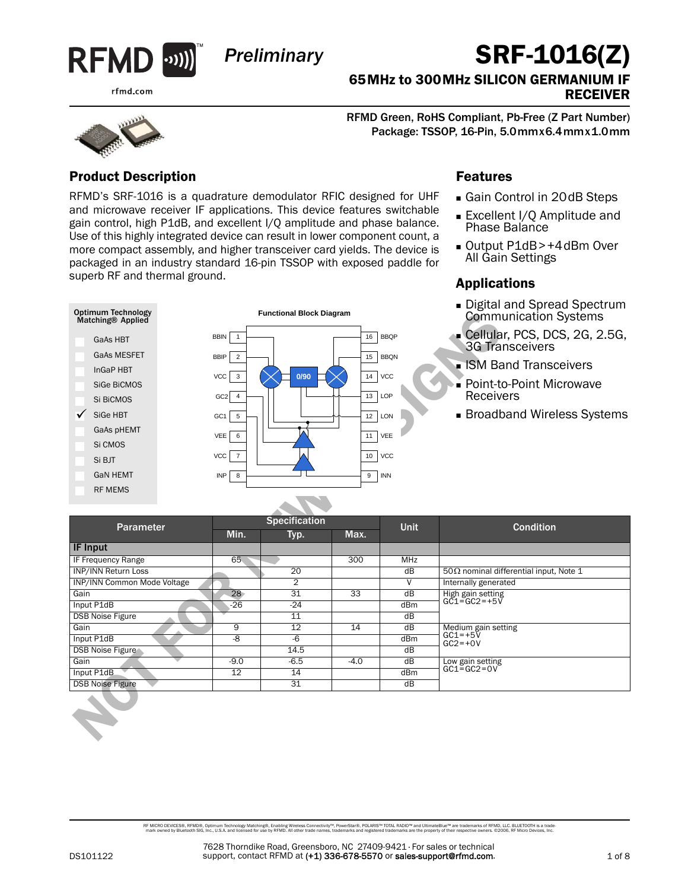

*Preliminary*

#### rfmd.com

# SRF-1016(Z)

65MHz to 300MHz SILICON GERMANIUM IF RECEIVER

RFMD Green, RoHS Compliant, Pb-Free (Z Part Number) Package: TSSOP, 16-Pin, 5.0mmx6.4mmx1.0mm

### Product Description

RFMD's SRF-1016 is a quadrature demodulator RFIC designed for UHF and microwave receiver IF applications. This device features switchable gain control, high P1dB, and excellent I/Q amplitude and phase balance. Use of this highly integrated device can result in lower component count, a more compact assembly, and higher transceiver card yields. The device is packaged in an industry standard 16-pin TSSOP with exposed paddle for superb RF and thermal ground.

**Functional Block Diagram**

### Features

- Gain Control in 20dB Steps
- Excellent I/Q Amplitude and Phase Balance
- Output P1dB>+4dBm Over All Gain Settings

### Applications

- Digital and Spread Spectrum Communication Systems
- Cellular, PCS, DCS, 2G, 2.5G, 3G Transceivers
- **ISM Band Transceivers**
- Point-to-Point Microwave Receivers
- **Broadband Wireless Systems**

| <b>Optimum Technology</b><br>Matching® Applied |                               | <b>Functional Block Diagram</b> |        |                         | <b>Communication Systems</b>                            |
|------------------------------------------------|-------------------------------|---------------------------------|--------|-------------------------|---------------------------------------------------------|
| GaAs HBT                                       | <b>BBIN</b><br>$\overline{1}$ |                                 | 16     | <b>BBQP</b>             | Cellular, PCS, DCS, 2G, 2.5G,<br><b>3G Transceivers</b> |
| <b>GaAs MESFET</b>                             | <b>BBIP</b><br>$\overline{2}$ |                                 | 15     | <b>BBQN</b>             |                                                         |
| InGaP HBT                                      |                               |                                 |        |                         | • ISM Band Transceivers                                 |
| SiGe BiCMOS                                    | <b>VCC</b><br>3               | 0/90                            | 14     | VCC                     | ■ Point-to-Point Microwave                              |
| Si BiCMOS                                      | $GC2$ 4                       |                                 | 13     | LOP                     | Receivers                                               |
| SiGe HBT<br>✓                                  | GC1<br>5                      |                                 | 12     | LON                     | <b>Broadband Wireless Systems</b>                       |
| GaAs pHEMT                                     |                               |                                 |        |                         |                                                         |
| Si CMOS                                        | VEE<br>6                      |                                 | 11     | VEE                     |                                                         |
|                                                | VCC<br>$\overline{7}$         |                                 | 10     | <b>VCC</b>              |                                                         |
| Si BJT                                         |                               |                                 |        |                         |                                                         |
| <b>GaN HEMT</b>                                | <b>INP</b><br>8               |                                 | 9      | <b>INN</b>              |                                                         |
| <b>RF MEMS</b>                                 |                               |                                 |        |                         |                                                         |
|                                                |                               |                                 |        |                         |                                                         |
|                                                |                               | Specification                   |        | <b>Unit</b>             | <b>Condition</b>                                        |
| Parameter                                      | Min.                          | Typ.                            | Max.   |                         |                                                         |
| <b>IF Input</b>                                |                               |                                 |        |                         |                                                         |
| IF Frequency Range                             | 65                            |                                 | 300    | <b>MHz</b>              |                                                         |
| <b>INP/INN Return Loss</b>                     |                               | 20                              |        | $\overline{dB}$         | 50 $\Omega$ nominal differential input, Note 1          |
| INP/INN Common Mode Voltage                    |                               | $\overline{2}$                  |        | $\overline{\mathsf{v}}$ | Internally generated                                    |
| Gain<br>Input P1dB                             | 28<br>$-26$                   | 31<br>$-24$                     | 33     | $\overline{dB}$<br>dBm  | High gain setting<br>GC1=GC2=+5V                        |
| <b>DSB Noise Figure</b>                        |                               | 11                              |        | dB                      |                                                         |
| Gain                                           | 9                             | 12                              | 14     | dB                      | Medium gain setting<br>GC1=+5V                          |
| Input P1dB                                     | -8                            | $-6$                            |        | dBm                     | $GC2 = +0V$                                             |
| <b>DSB Noise Figure</b>                        |                               | 14.5                            |        | $\overline{dB}$         |                                                         |
| Gain                                           | $-9.0$                        | $-6.5$                          | $-4.0$ | dB                      | Low gain setting                                        |
| Input P1dB                                     | 12                            | 14                              |        | dBm                     | $GC1 = GC2 = OV$                                        |
| <b>DSB Noise Figure</b>                        |                               | 31                              |        | dB                      |                                                         |
|                                                |                               |                                 |        |                         |                                                         |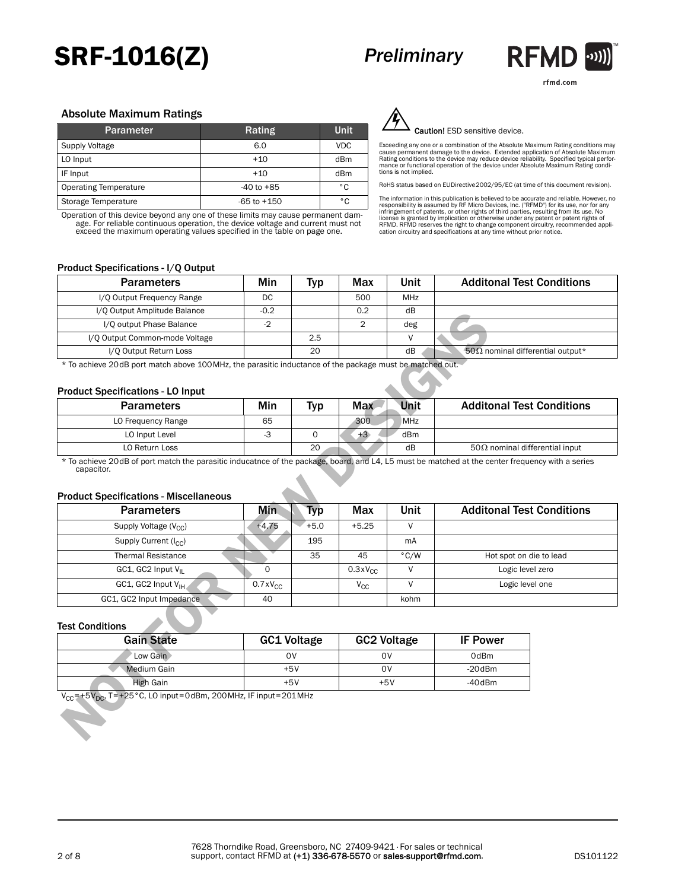## SRF-1016(Z)

## *Preliminary*



rfmd.com

#### Absolute Maximum Ratings

| <b>Parameter</b>             | Rating          | <b>Unit</b> |
|------------------------------|-----------------|-------------|
| Supply Voltage               | 6.0             | <b>VDC</b>  |
| LO Input                     | $+10$           | dBm         |
| IF Input                     | $+10$           | dBm         |
| <b>Operating Temperature</b> | $-40$ to $+85$  | ۰c          |
| Storage Temperature          | $-65$ to $+150$ | ۰c          |

Operation of this device beyond any one of these limits may cause permanent dam-age. For reliable continuous operation, the device voltage and current must not exceed the maximum operating values specified in the table on page one.



Caution! ESD sensitive device.

Exceeding any one or a combination of the Absolute Maximum Rating conditions may<br>cause permanent damage to the device. Extended application of Absolute Maximum<br>Rating conditions to the device may reduce device reliability.

RoHS status based on EUDirective2002/95/EC (at time of this document revision).

The information in this publication is believed to be accurate and reliable. However, no<br>responsibility is assumed by RF Micro Devices, Inc. ("RFMD") for its use, nor for any<br>infringement of patents, or other rights of thi

#### Product Specifications - I/Q Output

| <b>Parameters</b>              | Min    | <b>Typ</b> | Max | Unit       | <b>Additonal Test Conditions</b>         |
|--------------------------------|--------|------------|-----|------------|------------------------------------------|
| I/O Output Frequency Range     | DC     |            | 500 | <b>MHz</b> |                                          |
| I/Q Output Amplitude Balance   | $-0.2$ |            | 0.2 | dB         |                                          |
| I/O output Phase Balance       | $-2$   |            |     | deg        |                                          |
| I/O Output Common-mode Voltage |        | 2.5        |     |            |                                          |
| I/O Output Return Loss         |        | 20         |     | dB         | 50 $\Omega$ nominal differential output* |

#### Product Specifications - LO Input

| <b>Parameters</b>  | Min | Тур | Unit<br><b>Max</b> | <b>Additonal Test Conditions</b>       |  |  |  |
|--------------------|-----|-----|--------------------|----------------------------------------|--|--|--|
| LO Frequency Range | 65  |     | <b>MHz</b><br>300  |                                        |  |  |  |
| LO Input Level     |     |     | dBm<br>$+5.$       |                                        |  |  |  |
| LO Return Loss     |     | 20  | dB                 | 50 $\Omega$ nominal differential input |  |  |  |

#### Product Specifications - Miscellaneous

| T/Q Output Amplitude Balance                                                                                                                                                                                    | -0.2<br>0.2        |            | aв             |                    |                                          |  |
|-----------------------------------------------------------------------------------------------------------------------------------------------------------------------------------------------------------------|--------------------|------------|----------------|--------------------|------------------------------------------|--|
| I/O output Phase Balance                                                                                                                                                                                        | $-2$               |            | $\overline{2}$ | deg                |                                          |  |
| I/Q Output Common-mode Voltage                                                                                                                                                                                  |                    | 2.5        |                | $\vee$             |                                          |  |
| I/O Output Return Loss                                                                                                                                                                                          |                    | 20         |                | dB                 | 50 $\Omega$ nominal differential output* |  |
| * To achieve 20dB port match above 100MHz, the parasitic inductance of the package must be matched out.<br><b>Product Specifications - LO Input</b>                                                             |                    |            |                |                    |                                          |  |
| <b>Parameters</b>                                                                                                                                                                                               | Min                | <b>Typ</b> | <b>Max</b>     | Unit               | <b>Additonal Test Conditions</b>         |  |
| LO Frequency Range                                                                                                                                                                                              | 65                 |            | 300            | <b>MHz</b>         |                                          |  |
| LO Input Level                                                                                                                                                                                                  | $-3$               | $\circ$    | $+3$           | dBm                |                                          |  |
| LO Return Loss                                                                                                                                                                                                  |                    | 20         |                | dB                 | 50 $\Omega$ nominal differential input   |  |
| * To achieve 20dB of port match the parasitic inducatnce of the package, board, and L4, L5 must be matched at the center frequency with a series<br>capacitor.<br><b>Product Specifications - Miscellaneous</b> |                    |            |                |                    |                                          |  |
| <b>Parameters</b>                                                                                                                                                                                               | <b>Min</b>         | <b>Typ</b> | Max            | Unit               | <b>Additonal Test Conditions</b>         |  |
| Supply Voltage $(V_{CC})$                                                                                                                                                                                       | $+4.75$            | $+5.0$     | $+5.25$        | V                  |                                          |  |
| Supply Current (I <sub>CC</sub> )                                                                                                                                                                               |                    | 195        |                | mA                 |                                          |  |
| <b>Thermal Resistance</b>                                                                                                                                                                                       |                    | 35         | 45             | $\degree$ C/W      | Hot spot on die to lead                  |  |
| GC1, GC2 Input V <sub>II</sub>                                                                                                                                                                                  | $\Omega$           |            | $0.3xV_{CC}$   | $\vee$             | Logic level zero                         |  |
| GC1, GC2 Input V <sub>IH</sub>                                                                                                                                                                                  | $0.7xV_{CC}$       |            | $V_{CC}$       | V                  | Logic level one                          |  |
| GC1, GC2 Input Impedance                                                                                                                                                                                        | 40                 |            |                | kohm               |                                          |  |
| <b>Test Conditions</b>                                                                                                                                                                                          |                    |            |                |                    |                                          |  |
| <b>Gain State</b>                                                                                                                                                                                               | <b>GC1 Voltage</b> |            |                | <b>GC2 Voltage</b> | <b>IF Power</b>                          |  |
| Low Gain                                                                                                                                                                                                        | <b>OV</b>          |            | 0 <sub>V</sub> |                    | 0dBm                                     |  |
| <b>Medium Gain</b>                                                                                                                                                                                              | $+5V$              |            |                | 0V                 | $-20$ dBm                                |  |
| <b>High Gain</b>                                                                                                                                                                                                | $+5V$              |            |                | $+5V$              | $-40$ dBm                                |  |
| $V_{CC}$ = +5 $V_{DC}$ , T = +25 °C, LO input = 0dBm, 200 MHz, IF input = 201 MHz                                                                                                                               |                    |            |                |                    |                                          |  |

#### Test Conditions

| <b>Gain State</b> | <b>GC1 Voltage</b> | <b>GC2 Voltage</b> | <b>IF Power</b> |
|-------------------|--------------------|--------------------|-----------------|
| Low Gain          | o٧                 | ov                 | 0dBm            |
| Medium Gain       | $+5V$              | ov                 | $-20$ dBm       |
| High Gain         | $+5V$              | $+5V$              | $-40$ dBm       |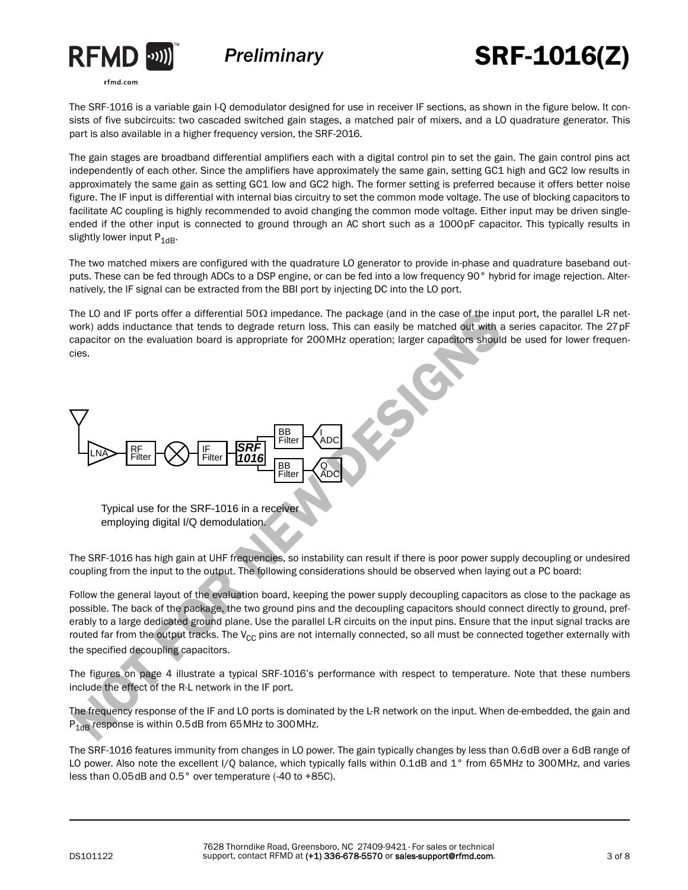



# SRF-1016(Z)

The SRF-1016 is a variable gain I-Q demodulator designed for use in receiver IF sections, as shown in the figure below. It consists of five subcircuits: two cascaded switched gain stages, a matched pair of mixers, and a LO quadrature generator. This part is also available in a higher frequency version, the SRF-2016.

The gain stages are broadband differential amplifiers each with a digital control pin to set the gain. The gain control pins act independently of each other. Since the amplifiers have approximately the same gain, setting GC1 high and GC2 low results in approximately the same gain as setting GC1 low and GC2 high. The former setting is preferred because it offers better noise figure. The IF input is differential with internal bias circuitry to set the common mode voltage. The use of blocking capacitors to facilitate AC coupling is highly recommended to avoid changing the common mode voltage. Either input may be driven singleended if the other input is connected to ground through an AC short such as a 1000pF capacitor. This typically results in slightly lower input  $P_{1dB}$ .

The two matched mixers are configured with the quadrature LO generator to provide in-phase and quadrature baseband outputs. These can be fed through ADCs to a DSP engine, or can be fed into a low frequency 90° hybrid for image rejection. Alternatively, the IF signal can be extracted from the BBI port by injecting DC into the LO port.

The LO and IF ports offer a differential 50 $\Omega$  impedance. The package (and in the case of the input port, the parallel L-R network) adds inductance that tends to degrade return loss. This can easily be matched out with a series capacitor. The 27pF capacitor on the evaluation board is appropriate for 200MHz operation; larger capacitors should be used for lower frequencies.



Typical use for the SRF-1016 in a receiver employing digital I/Q demodulation.

The SRF-1016 has high gain at UHF frequencies, so instability can result if there is poor power supply decoupling or undesired coupling from the input to the output. The following considerations should be observed when laying out a PC board:

Follow the general layout of the evaluation board, keeping the power supply decoupling capacitors as close to the package as possible. The back of the package, the two ground pins and the decoupling capacitors should connect directly to ground, preferably to a large dedicated ground plane. Use the parallel L-R circuits on the input pins. Ensure that the input signal tracks are routed far from the output tracks. The  $V_{CC}$  pins are not internally connected, so all must be connected together externally with the specified decoupling capacitors.

The figures on page 4 illustrate a typical SRF-1016's performance with respect to temperature. Note that these numbers include the effect of the R-L network in the IF port.

The frequency response of the IF and LO ports is dominated by the L-R network on the input. When de-embedded, the gain and  $P_{1dB}$  response is within 0.5dB from 65 MHz to 300 MHz.

The SRF-1016 features immunity from changes in LO power. The gain typically changes by less than 0.6dB over a 6dB range of LO power. Also note the excellent I/Q balance, which typically falls within 0.1dB and 1° from 65MHz to 300MHz, and varies less than 0.05dB and 0.5° over temperature (-40 to +85C).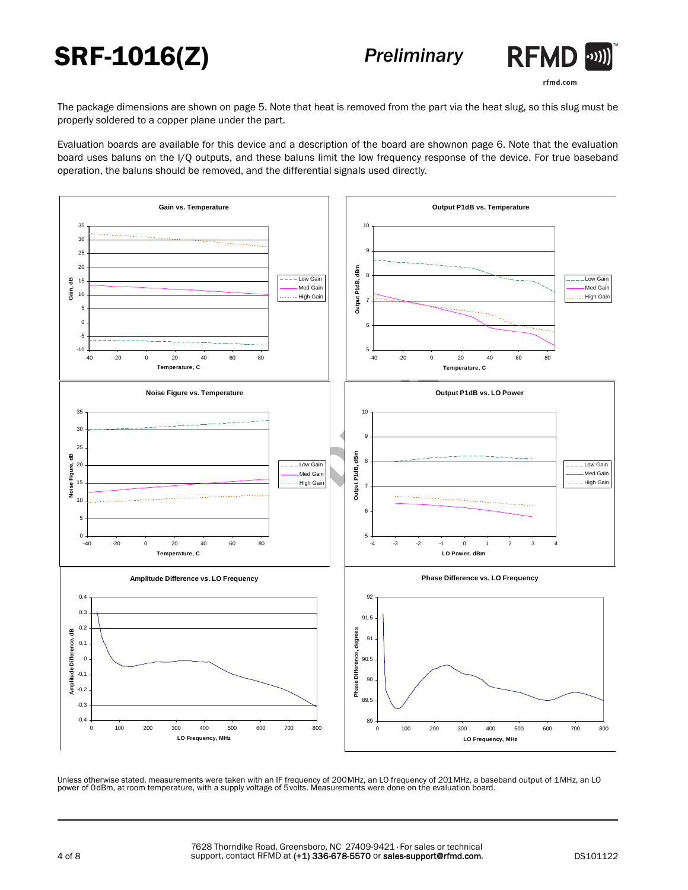# SRF-1016(Z)



rfmd.com

The package dimensions are shown on page 5. Note that heat is removed from the part via the heat slug, so this slug must be properly soldered to a copper plane under the part.

Evaluation boards are available for this device and a description of the board are shownon page 6. Note that the evaluation board uses baluns on the I/Q outputs, and these baluns limit the low frequency response of the device. For true baseband operation, the baluns should be removed, and the differential signals used directly.



Unless otherwise stated, measurements were taken with an IF frequency of 200MHz, an LO frequency of 201MHz, a baseband output of 1MHz, an LO<br>power of OdBm, at room temperature, with a supply voltage of 5 volts. Measurement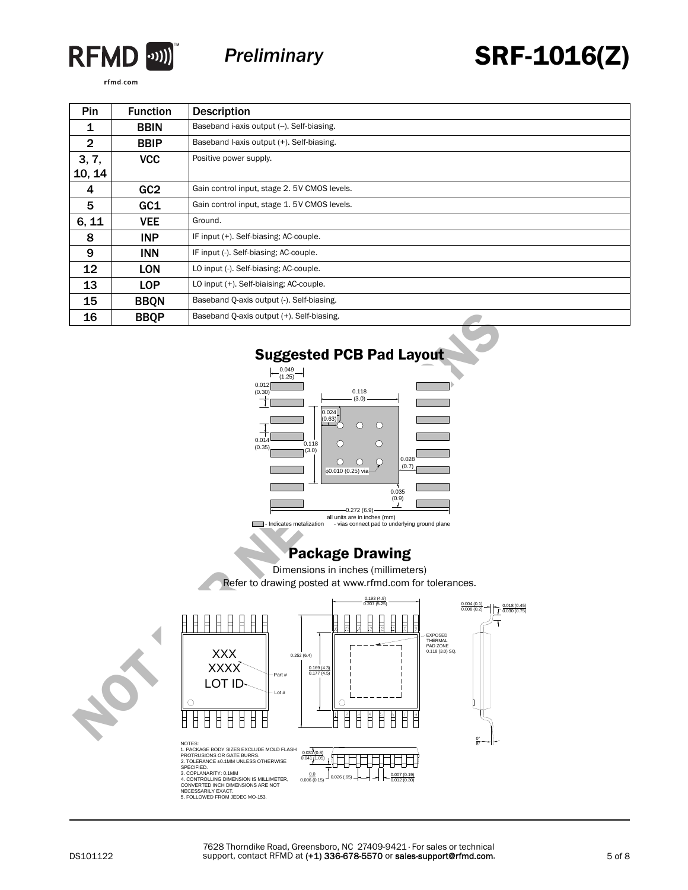

*Preliminary*

SRF-1016(Z)

rfmd.com

| Pin             | <b>Function</b> | <b>Description</b>                          |  |  |  |  |
|-----------------|-----------------|---------------------------------------------|--|--|--|--|
| 1               | <b>BBIN</b>     | Baseband i-axis output (-). Self-biasing.   |  |  |  |  |
| $\mathbf{2}$    | <b>BBIP</b>     | Baseband I-axis output (+). Self-biasing.   |  |  |  |  |
| 3, 7,<br>10, 14 | <b>VCC</b>      | Positive power supply.                      |  |  |  |  |
| 4               | GC <sub>2</sub> | Gain control input, stage 2.5V CMOS levels. |  |  |  |  |
| 5               | GC1             | Gain control input, stage 1.5V CMOS levels. |  |  |  |  |
| 6, 11           | <b>VEE</b>      | Ground.                                     |  |  |  |  |
| 8               | <b>INP</b>      | IF input (+). Self-biasing; AC-couple.      |  |  |  |  |
| 9               | <b>INN</b>      | IF input (-). Self-biasing; AC-couple.      |  |  |  |  |
| 12              | <b>LON</b>      | LO input (-). Self-biasing; AC-couple.      |  |  |  |  |
| 13              | LOP             | LO input (+). Self-biaising; AC-couple.     |  |  |  |  |
| 15              | <b>BBQN</b>     | Baseband Q-axis output (-). Self-biasing.   |  |  |  |  |
| 16              | <b>BBQP</b>     | Baseband Q-axis output (+). Self-biasing.   |  |  |  |  |



all units are in inches (mm)<br>Indicates metalization - vias connect pad to underlying ground plane

### Package Drawing

Dimensions in inches (millimeters)

Refer to drawing posted at www.rfmd.com for tolerances.



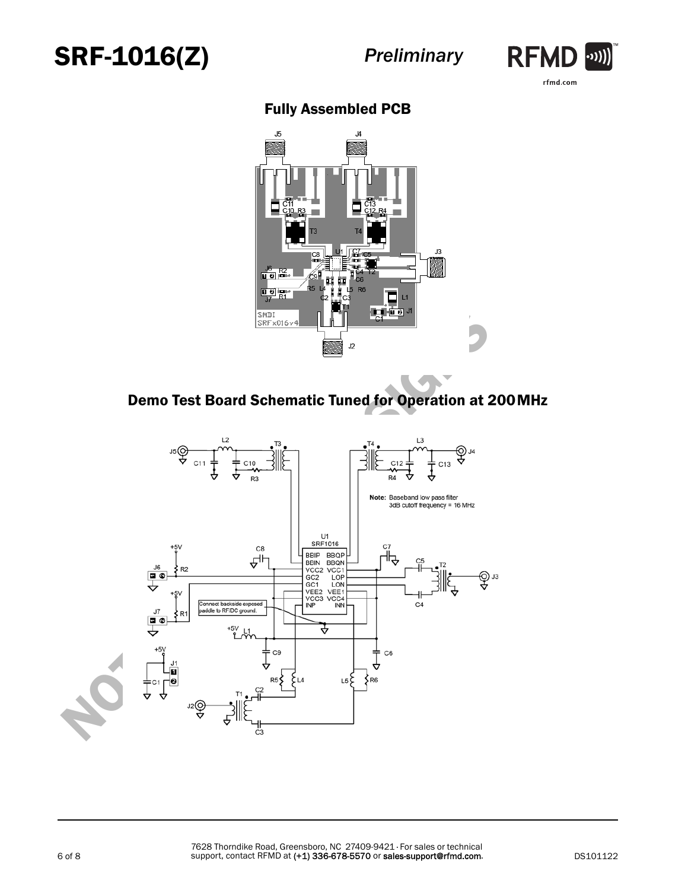



## Fully Assembled PCB



## Demo Test Board Schematic Tuned for Operation at 200MHz

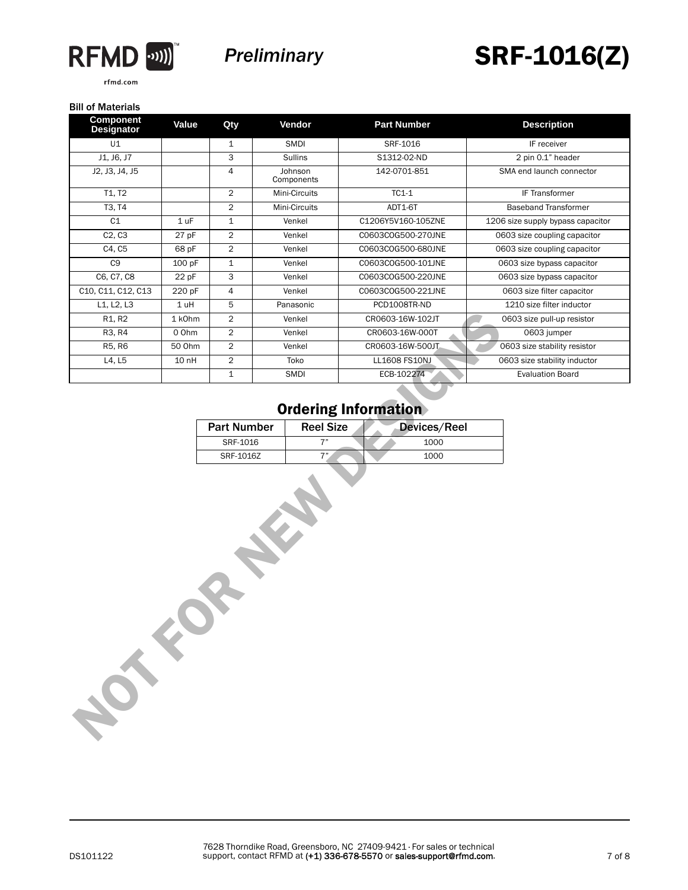

rfmd.com



## SRF-1016(Z)

#### Bill of Materials

| <b>Component</b><br><b>Designator</b> | Value           | Qty                |                       | Vendor           | <b>Part Number</b> | <b>Description</b>                |
|---------------------------------------|-----------------|--------------------|-----------------------|------------------|--------------------|-----------------------------------|
| U1                                    |                 | $\mathbf{1}$       |                       | SMDI             | SRF-1016           | IF receiver                       |
| J1, J6, J7                            |                 | 3                  | Sullins               |                  | S1312-02-ND        | 2 pin 0.1" header                 |
| J2, J3, J4, J5                        |                 | 4                  | Johnson<br>Components |                  | 142-0701-851       | SMA end launch connector          |
| T1, T2                                |                 | $\overline{2}$     |                       | Mini-Circuits    | $TC1-1$            | IF Transformer                    |
| T3, T4                                |                 | $\overline{2}$     |                       | Mini-Circuits    | ADT1-6T            | <b>Baseband Transformer</b>       |
| C1                                    | 1 <sub>uF</sub> | $\mathbf{1}$       |                       | Venkel           | C1206Y5V160-105ZNE | 1206 size supply bypass capacitor |
| C <sub>2</sub> , C <sub>3</sub>       | 27 pF           | $\overline{2}$     |                       | Venkel           | C0603C0G500-270JNE | 0603 size coupling capacitor      |
| C4, C5                                | 68 pF           | $\overline{2}$     |                       | Venkel           | C0603C0G500-680JNE | 0603 size coupling capacitor      |
| C <sub>9</sub>                        | 100 pF          | $\mathbf{1}$       |                       | Venkel           | C0603C0G500-101JNE | 0603 size bypass capacitor        |
| C6, C7, C8                            | 22 pF           | 3                  |                       | Venkel           | C0603C0G500-220JNE | 0603 size bypass capacitor        |
| C10, C11, C12, C13                    | 220 pF          | 4                  |                       | Venkel           | C0603C0G500-221JNE | 0603 size filter capacitor        |
| L1, L2, L3                            | 1 uH            | 5                  |                       | Panasonic        | PCD1008TR-ND       | 1210 size filter inductor         |
| R1, R2                                | 1 kOhm          | $\overline{c}$     |                       | Venkel           | CR0603-16W-102JT   | 0603 size pull-up resistor        |
| R3, R4                                | 0 Ohm           | $\overline{2}$     |                       | Venkel           | CR0603-16W-000T    | 0603 jumper                       |
| R5, R6                                | 50 Ohm          | $\overline{2}$     |                       | Venkel           | CR0603-16W-500JT   | 0603 size stability resistor      |
| L4, L5                                | 10 nH           | $\overline{2}$     |                       | Toko             | LL1608 FS10NJ      | 0603 size stability inductor      |
|                                       |                 | $\mathbf{1}$       |                       | SMDI             | ECB-102274         | <b>Evaluation Board</b>           |
|                                       |                 | SRF-1016           |                       | 7"               | 1000               |                                   |
|                                       |                 | <b>Part Number</b> |                       | <b>Reel Size</b> | Devices/Reel       |                                   |
|                                       |                 |                    |                       |                  |                    |                                   |
|                                       |                 | SRF-1016Z          |                       | 7"               | 1000               |                                   |
| <b>POLE</b>                           |                 |                    |                       | 2 Miles          |                    |                                   |
|                                       |                 |                    |                       |                  |                    |                                   |

### Ordering Information

| <b>Part Number</b> | <b>Reel Size</b> | Devices/Reel |
|--------------------|------------------|--------------|
| SRF-1016           |                  | 1000         |
| SRF-1016Z          | 711              | 1000         |